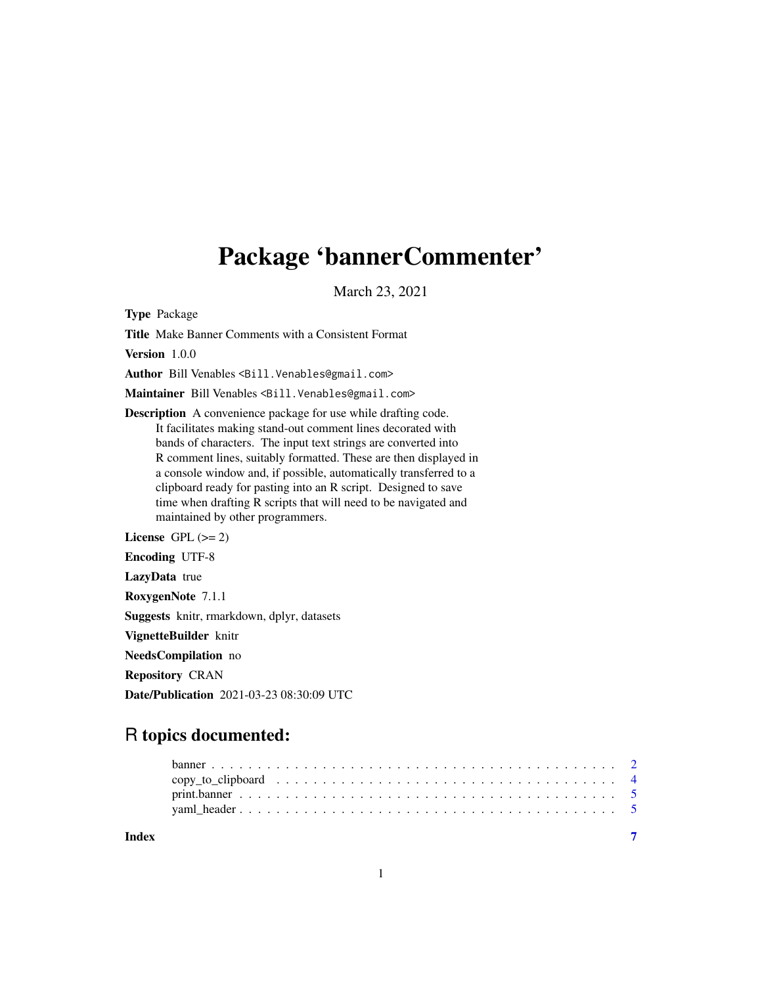## Package 'bannerCommenter'

March 23, 2021

Type Package

Title Make Banner Comments with a Consistent Format

Version 1.0.0

Author Bill Venables <Bill.Venables@gmail.com>

Maintainer Bill Venables <Bill. Venables@gmail.com>

Description A convenience package for use while drafting code. It facilitates making stand-out comment lines decorated with bands of characters. The input text strings are converted into R comment lines, suitably formatted. These are then displayed in a console window and, if possible, automatically transferred to a clipboard ready for pasting into an R script. Designed to save time when drafting R scripts that will need to be navigated and maintained by other programmers.

License GPL  $(>= 2)$ 

Encoding UTF-8

LazyData true

RoxygenNote 7.1.1

Suggests knitr, rmarkdown, dplyr, datasets

VignetteBuilder knitr

NeedsCompilation no

Repository CRAN

Date/Publication 2021-03-23 08:30:09 UTC

### R topics documented:

| Index |  |  |  |  |  |  |  |  |  |  |  |  |  |  |  |  |
|-------|--|--|--|--|--|--|--|--|--|--|--|--|--|--|--|--|

1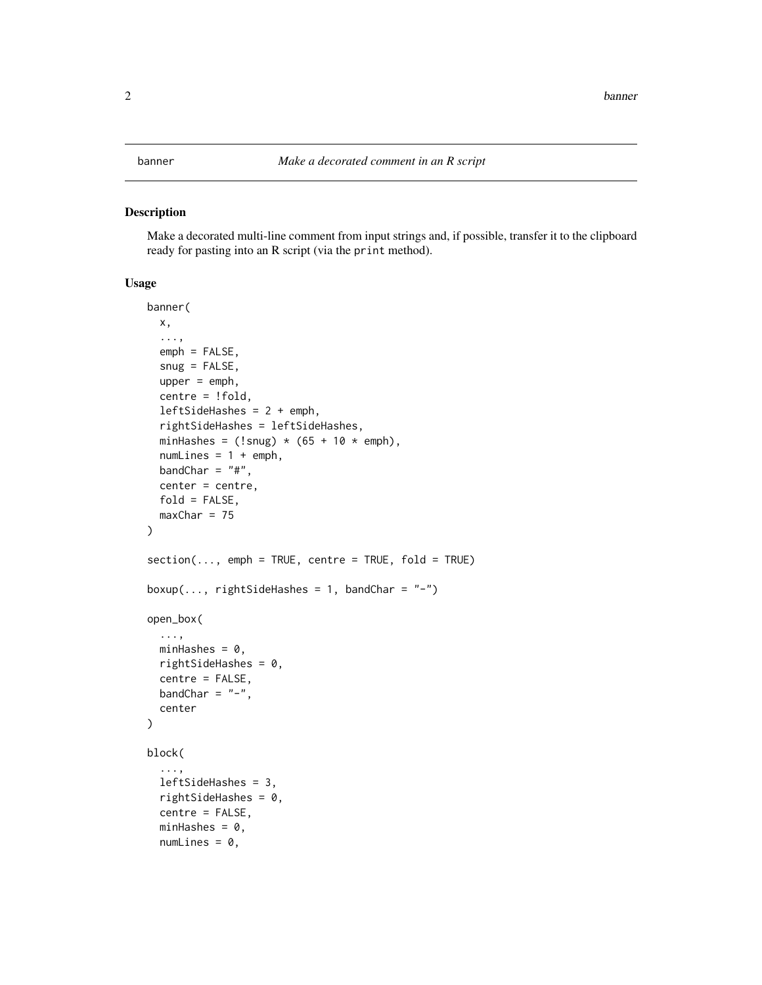#### <span id="page-1-0"></span>Description

Make a decorated multi-line comment from input strings and, if possible, transfer it to the clipboard ready for pasting into an R script (via the print method).

#### Usage

```
banner(
  x,
  ...,
  emph = FALSE,
  sny = FALSE,upper = emph,centre = !fold,
  leftSideHashes = 2 + emph,
  rightSideHashes = leftSideHashes,
  minHashes = (!s n u g) * (65 + 10 * emb),numLines = 1 + emph,bandChar = "#",
  center = centre,
  fold = FALSE,
  maxChar = 75)
section(..., emph = TRUE, centre = TRUE, fold = TRUE)
boxup(..., rightSideHashes = 1, bandChar = "-")
open_box(
  ...,
 minHashes = 0,
  rightSideHashes = 0,
  centre = FALSE,
 bandChar = "-",
  center
)
block(
  ...,
  leftSideHashes = 3,
  rightSideHashes = 0,
  centre = FALSE,
  minHashes = 0,
  numLines = 0,
```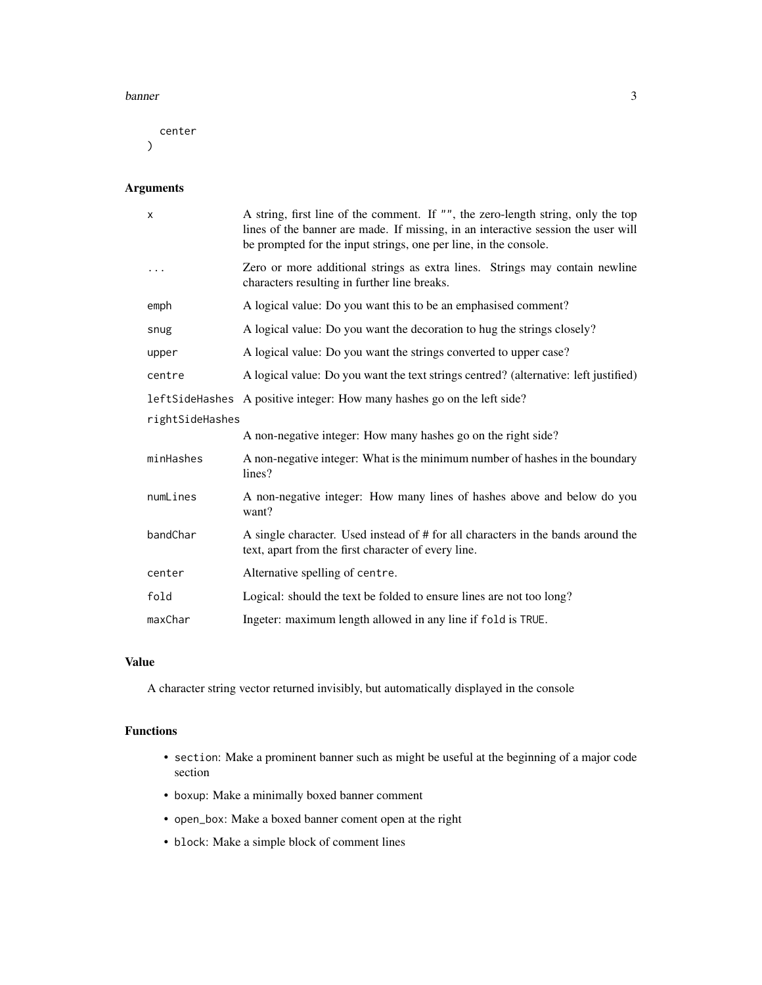#### banner 3

center  $\mathcal{L}$ 

#### Arguments

| X               | A string, first line of the comment. If "", the zero-length string, only the top<br>lines of the banner are made. If missing, in an interactive session the user will<br>be prompted for the input strings, one per line, in the console. |  |  |  |  |  |  |  |  |
|-----------------|-------------------------------------------------------------------------------------------------------------------------------------------------------------------------------------------------------------------------------------------|--|--|--|--|--|--|--|--|
| $\cdots$        | Zero or more additional strings as extra lines. Strings may contain newline<br>characters resulting in further line breaks.                                                                                                               |  |  |  |  |  |  |  |  |
| emph            | A logical value: Do you want this to be an emphasised comment?                                                                                                                                                                            |  |  |  |  |  |  |  |  |
| snug            | A logical value: Do you want the decoration to hug the strings closely?                                                                                                                                                                   |  |  |  |  |  |  |  |  |
| upper           | A logical value: Do you want the strings converted to upper case?                                                                                                                                                                         |  |  |  |  |  |  |  |  |
| centre          | A logical value: Do you want the text strings centred? (alternative: left justified)                                                                                                                                                      |  |  |  |  |  |  |  |  |
|                 | leftSideHashes A positive integer: How many hashes go on the left side?                                                                                                                                                                   |  |  |  |  |  |  |  |  |
| rightSideHashes |                                                                                                                                                                                                                                           |  |  |  |  |  |  |  |  |
|                 | A non-negative integer: How many hashes go on the right side?                                                                                                                                                                             |  |  |  |  |  |  |  |  |
| minHashes       | A non-negative integer: What is the minimum number of hashes in the boundary<br>lines?                                                                                                                                                    |  |  |  |  |  |  |  |  |
| numLines        | A non-negative integer: How many lines of hashes above and below do you<br>want?                                                                                                                                                          |  |  |  |  |  |  |  |  |
| bandChar        | A single character. Used instead of # for all characters in the bands around the<br>text, apart from the first character of every line.                                                                                                   |  |  |  |  |  |  |  |  |
| center          | Alternative spelling of centre.                                                                                                                                                                                                           |  |  |  |  |  |  |  |  |
| fold            | Logical: should the text be folded to ensure lines are not too long?                                                                                                                                                                      |  |  |  |  |  |  |  |  |
| maxChar         | Ingeter: maximum length allowed in any line if fold is TRUE.                                                                                                                                                                              |  |  |  |  |  |  |  |  |

#### Value

A character string vector returned invisibly, but automatically displayed in the console

#### Functions

- section: Make a prominent banner such as might be useful at the beginning of a major code section
- boxup: Make a minimally boxed banner comment
- open\_box: Make a boxed banner coment open at the right
- block: Make a simple block of comment lines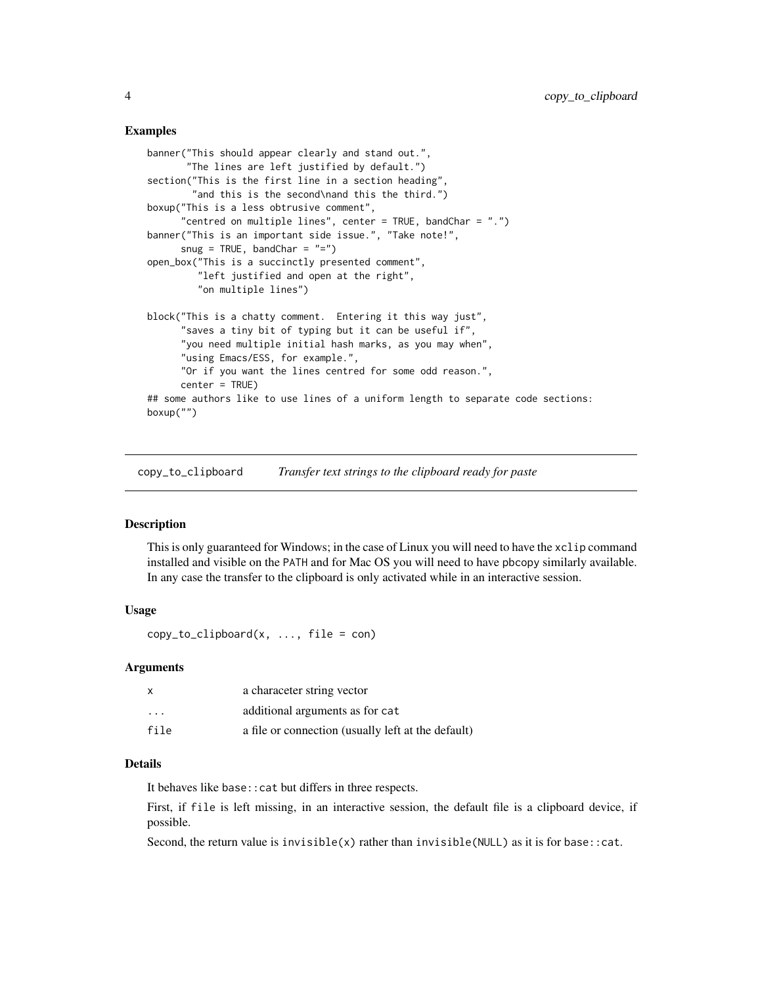#### <span id="page-3-0"></span>Examples

```
banner("This should appear clearly and stand out.",
       "The lines are left justified by default.")
section("This is the first line in a section heading",
        "and this is the second\nand this the third.")
boxup("This is a less obtrusive comment",
      "centred on multiple lines", center = TRUE, bandChar = ".")
banner("This is an important side issue.", "Take note!",
      snug = TRUE, bandChar = "=")
open_box("This is a succinctly presented comment",
         "left justified and open at the right",
         "on multiple lines")
block("This is a chatty comment. Entering it this way just",
      "saves a tiny bit of typing but it can be useful if",
      "you need multiple initial hash marks, as you may when",
      "using Emacs/ESS, for example.",
      "Or if you want the lines centred for some odd reason.",
     center = TRUE)
## some authors like to use lines of a uniform length to separate code sections:
boxup("")
```
copy\_to\_clipboard *Transfer text strings to the clipboard ready for paste*

#### Description

This is only guaranteed for Windows; in the case of Linux you will need to have the xclip command installed and visible on the PATH and for Mac OS you will need to have pbcopy similarly available. In any case the transfer to the clipboard is only activated while in an interactive session.

#### Usage

 $copy_to_clipboard(x, ..., file = con)$ 

#### Arguments

| x                       | a characeter string vector                         |
|-------------------------|----------------------------------------------------|
| $\cdot$ $\cdot$ $\cdot$ | additional arguments as for cat                    |
| file                    | a file or connection (usually left at the default) |

#### Details

It behaves like base::cat but differs in three respects.

First, if file is left missing, in an interactive session, the default file is a clipboard device, if possible.

Second, the return value is invisible(x) rather than invisible(NULL) as it is for base::cat.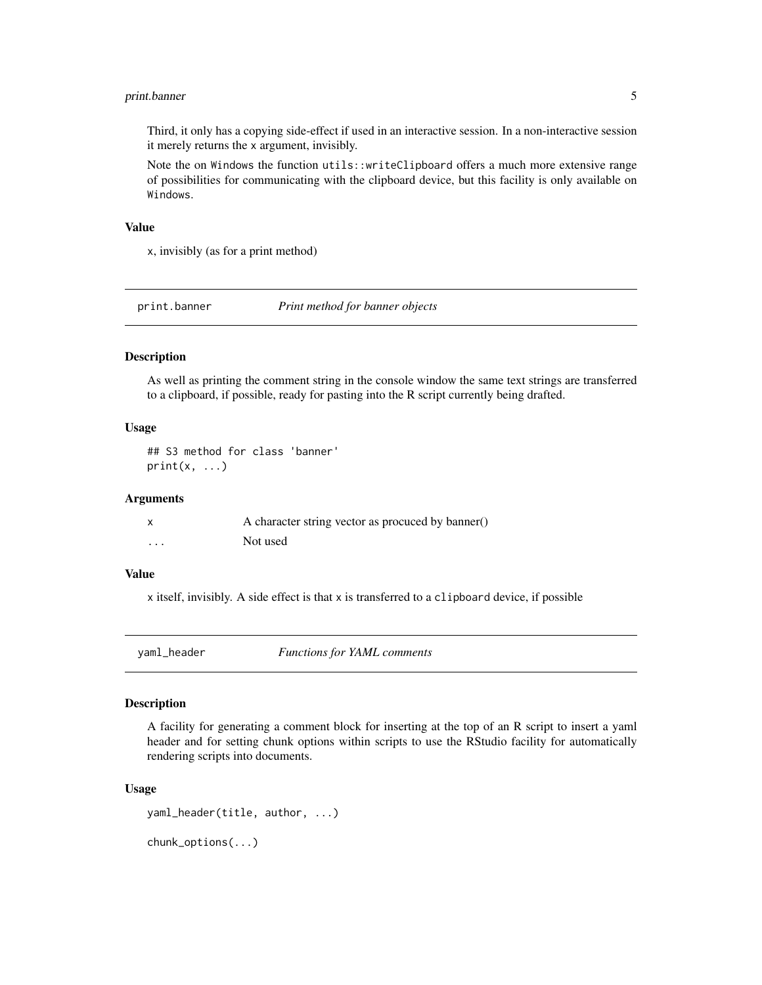#### <span id="page-4-0"></span>print.banner 5

Third, it only has a copying side-effect if used in an interactive session. In a non-interactive session it merely returns the x argument, invisibly.

Note the on Windows the function utils::writeClipboard offers a much more extensive range of possibilities for communicating with the clipboard device, but this facility is only available on Windows.

#### Value

x, invisibly (as for a print method)

print.banner *Print method for banner objects*

#### Description

As well as printing the comment string in the console window the same text strings are transferred to a clipboard, if possible, ready for pasting into the R script currently being drafted.

#### Usage

## S3 method for class 'banner'  $print(x, \ldots)$ 

#### Arguments

|   | A character string vector as procuced by banner() |
|---|---------------------------------------------------|
| . | Not used                                          |

#### Value

x itself, invisibly. A side effect is that x is transferred to a clipboard device, if possible

yaml\_header *Functions for YAML comments*

#### Description

A facility for generating a comment block for inserting at the top of an R script to insert a yaml header and for setting chunk options within scripts to use the RStudio facility for automatically rendering scripts into documents.

#### Usage

yaml\_header(title, author, ...)

chunk\_options(...)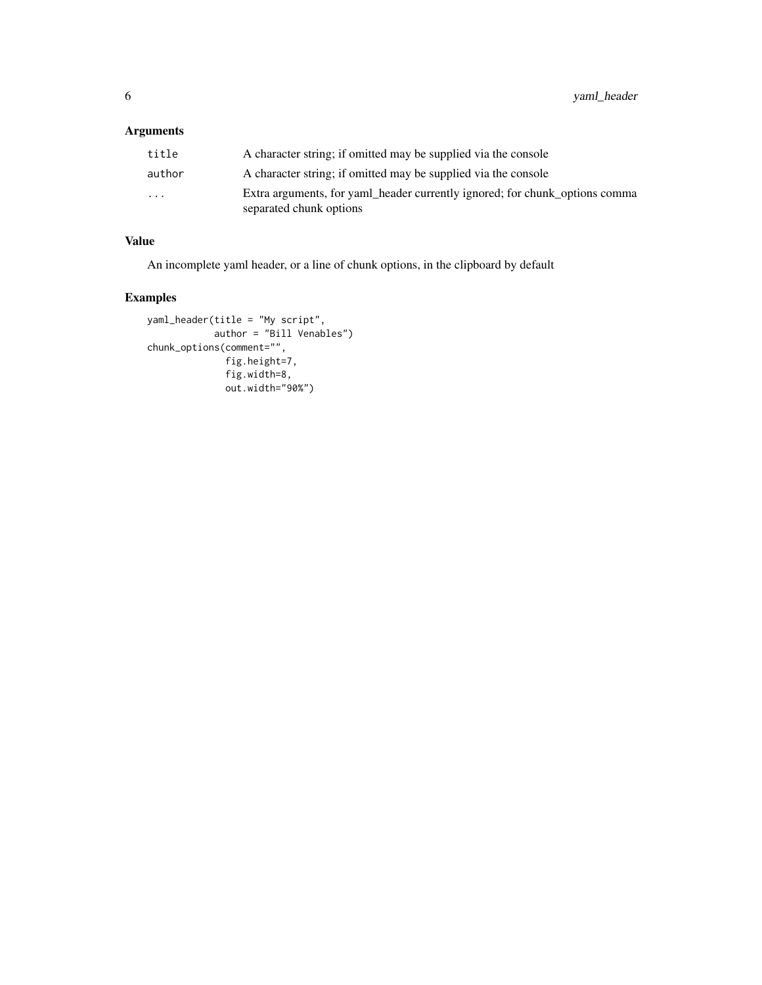6 yaml\_header

#### Arguments

| title                   | A character string; if omitted may be supplied via the console                                         |
|-------------------------|--------------------------------------------------------------------------------------------------------|
| author                  | A character string; if omitted may be supplied via the console                                         |
| $\cdot$ $\cdot$ $\cdot$ | Extra arguments, for yaml_header currently ignored; for chunk_options comma<br>separated chunk options |

#### Value

An incomplete yaml header, or a line of chunk options, in the clipboard by default

#### Examples

```
yaml_header(title = "My script",
            author = "Bill Venables")
chunk_options(comment="",
              fig.height=7,
             fig.width=8,
              out.width="90%")
```